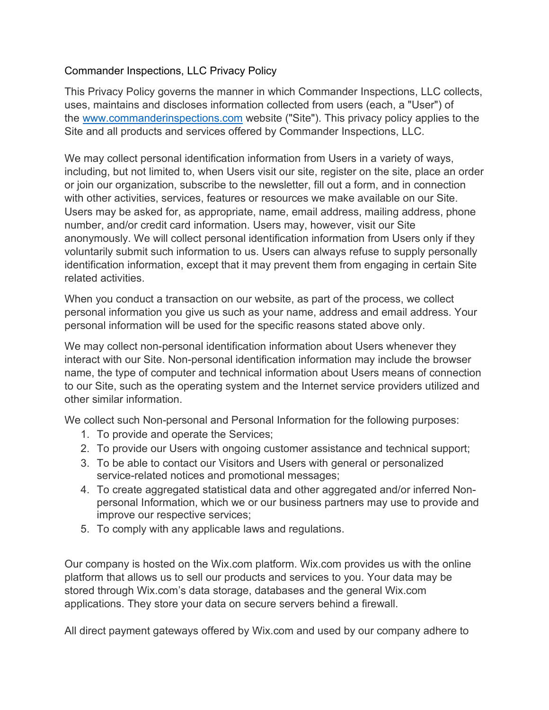## Commander Inspections, LLC Privacy Policy

This Privacy Policy governs the manner in which Commander Inspections, LLC collects, uses, maintains and discloses information collected from users (each, a "User") of the [www.commanderinspections.com](http://www.commanderinspections.com/) website ("Site"). This privacy policy applies to the Site and all products and services offered by Commander Inspections, LLC.

We may collect personal identification information from Users in a variety of ways, including, but not limited to, when Users visit our site, register on the site, place an order or join our organization, subscribe to the newsletter, fill out a form, and in connection with other activities, services, features or resources we make available on our Site. Users may be asked for, as appropriate, name, email address, mailing address, phone number, and/or credit card information. Users may, however, visit our Site anonymously. We will collect personal identification information from Users only if they voluntarily submit such information to us. Users can always refuse to supply personally identification information, except that it may prevent them from engaging in certain Site related activities.

When you conduct a transaction on our website, as part of the process, we collect personal information you give us such as your name, address and email address. Your personal information will be used for the specific reasons stated above only.

We may collect non-personal identification information about Users whenever they interact with our Site. Non-personal identification information may include the browser name, the type of computer and technical information about Users means of connection to our Site, such as the operating system and the Internet service providers utilized and other similar information.

We collect such Non-personal and Personal Information for the following purposes:

- 1. To provide and operate the Services;
- 2. To provide our Users with ongoing customer assistance and technical support;
- 3. To be able to contact our Visitors and Users with general or personalized service-related notices and promotional messages;
- 4. To create aggregated statistical data and other aggregated and/or inferred Nonpersonal Information, which we or our business partners may use to provide and improve our respective services;
- 5. To comply with any applicable laws and regulations.

Our company is hosted on the Wix.com platform. Wix.com provides us with the online platform that allows us to sell our products and services to you. Your data may be stored through Wix.com's data storage, databases and the general Wix.com applications. They store your data on secure servers behind a firewall.

All direct payment gateways offered by Wix.com and used by our company adhere to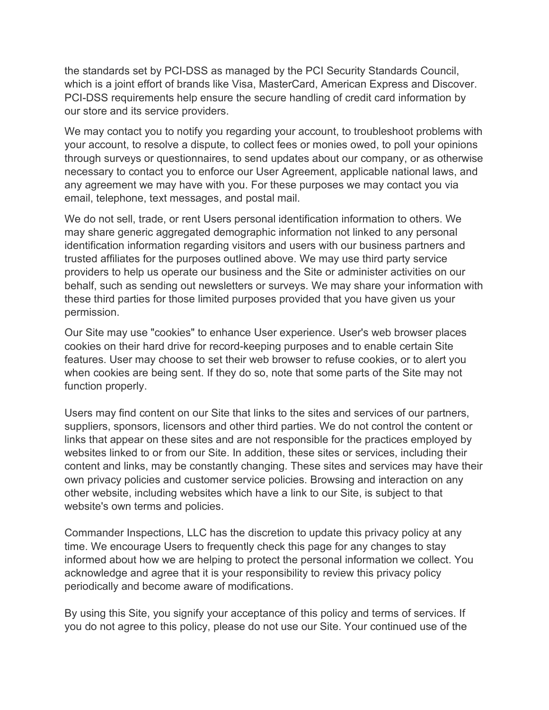the standards set by PCI-DSS as managed by the PCI Security Standards Council, which is a joint effort of brands like Visa, MasterCard, American Express and Discover. PCI-DSS requirements help ensure the secure handling of credit card information by our store and its service providers.

We may contact you to notify you regarding your account, to troubleshoot problems with your account, to resolve a dispute, to collect fees or monies owed, to poll your opinions through surveys or questionnaires, to send updates about our company, or as otherwise necessary to contact you to enforce our User Agreement, applicable national laws, and any agreement we may have with you. For these purposes we may contact you via email, telephone, text messages, and postal mail.

We do not sell, trade, or rent Users personal identification information to others. We may share generic aggregated demographic information not linked to any personal identification information regarding visitors and users with our business partners and trusted affiliates for the purposes outlined above. We may use third party service providers to help us operate our business and the Site or administer activities on our behalf, such as sending out newsletters or surveys. We may share your information with these third parties for those limited purposes provided that you have given us your permission.

Our Site may use "cookies" to enhance User experience. User's web browser places cookies on their hard drive for record-keeping purposes and to enable certain Site features. User may choose to set their web browser to refuse cookies, or to alert you when cookies are being sent. If they do so, note that some parts of the Site may not function properly.

Users may find content on our Site that links to the sites and services of our partners, suppliers, sponsors, licensors and other third parties. We do not control the content or links that appear on these sites and are not responsible for the practices employed by websites linked to or from our Site. In addition, these sites or services, including their content and links, may be constantly changing. These sites and services may have their own privacy policies and customer service policies. Browsing and interaction on any other website, including websites which have a link to our Site, is subject to that website's own terms and policies.

Commander Inspections, LLC has the discretion to update this privacy policy at any time. We encourage Users to frequently check this page for any changes to stay informed about how we are helping to protect the personal information we collect. You acknowledge and agree that it is your responsibility to review this privacy policy periodically and become aware of modifications.

By using this Site, you signify your acceptance of this policy and terms of services. If you do not agree to this policy, please do not use our Site. Your continued use of the